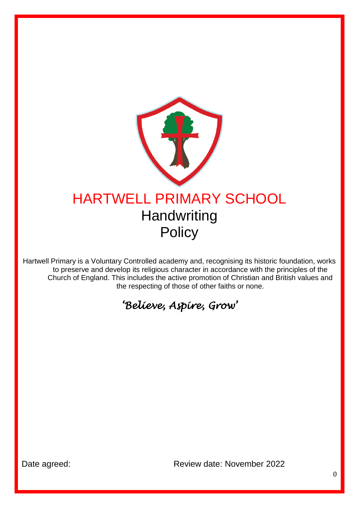

Hartwell Primary is a Voluntary Controlled academy and, recognising its historic foundation, works to preserve and develop its religious character in accordance with the principles of the Church of England. This includes the active promotion of Christian and British values and the respecting of those of other faiths or none.

# *'Believe, Aspire, Grow'*

Date agreed: Case Contract Review date: November 2022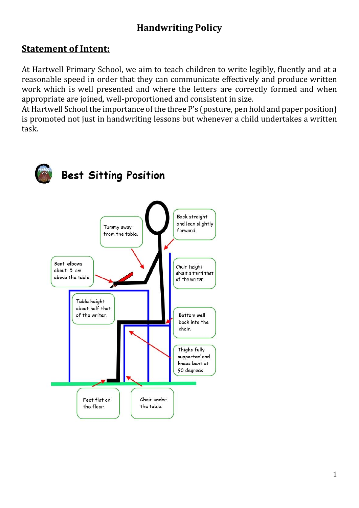# **Handwriting Policy**

### **Statement of Intent:**

At Hartwell Primary School, we aim to teach children to write legibly, fluently and at a reasonable speed in order that they can communicate effectively and produce written work which is well presented and where the letters are correctly formed and when appropriate are joined, well-proportioned and consistent in size.

At Hartwell School the importance of the three P's (posture, pen hold and paper position) is promoted not just in handwriting lessons but whenever a child undertakes a written task.

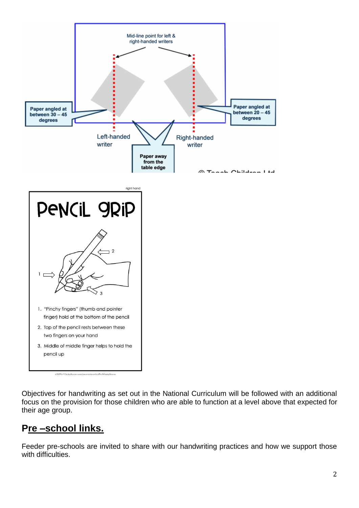

Objectives for handwriting as set out in the National Curriculum will be followed with an additional focus on the provision for those children who are able to function at a level above that expected for their age group.

# **Pre –school links.**

Feeder pre-schools are invited to share with our handwriting practices and how we support those with difficulties.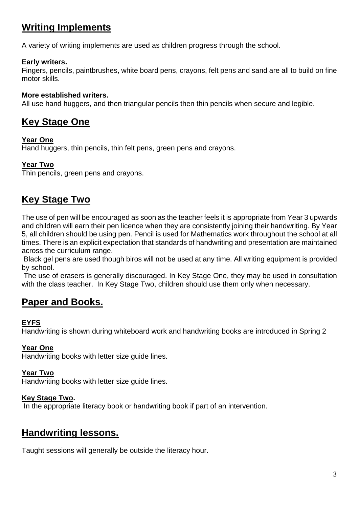# **Writing Implements**

A variety of writing implements are used as children progress through the school.

#### **Early writers.**

Fingers, pencils, paintbrushes, white board pens, crayons, felt pens and sand are all to build on fine motor skills.

#### **More established writers.**

All use hand huggers, and then triangular pencils then thin pencils when secure and legible.

## **Key Stage One**

#### **Year One**

Hand huggers, thin pencils, thin felt pens, green pens and crayons.

#### **Year Two**

Thin pencils, green pens and crayons.

## **Key Stage Two**

The use of pen will be encouraged as soon as the teacher feels it is appropriate from Year 3 upwards and children will earn their pen licence when they are consistently joining their handwriting. By Year 5, all children should be using pen. Pencil is used for Mathematics work throughout the school at all times. There is an explicit expectation that standards of handwriting and presentation are maintained across the curriculum range.

Black gel pens are used though biros will not be used at any time. All writing equipment is provided by school.

The use of erasers is generally discouraged. In Key Stage One, they may be used in consultation with the class teacher. In Key Stage Two, children should use them only when necessary.

### **Paper and Books.**

#### **EYFS**

Handwriting is shown during whiteboard work and handwriting books are introduced in Spring 2

#### **Year One**

Handwriting books with letter size guide lines.

#### **Year Two**

Handwriting books with letter size guide lines.

#### **Key Stage Two.**

In the appropriate literacy book or handwriting book if part of an intervention.

### **Handwriting lessons.**

Taught sessions will generally be outside the literacy hour.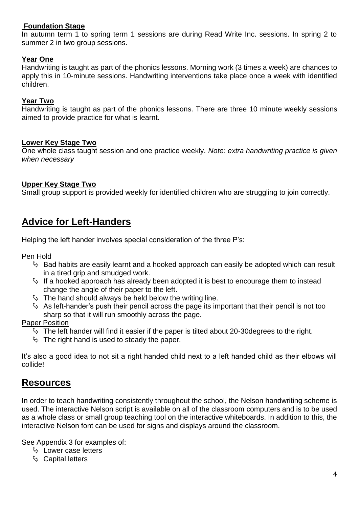#### **Foundation Stage**

In autumn term 1 to spring term 1 sessions are during Read Write Inc. sessions. In spring 2 to summer 2 in two group sessions.

#### **Year One**

Handwriting is taught as part of the phonics lessons. Morning work (3 times a week) are chances to apply this in 10-minute sessions. Handwriting interventions take place once a week with identified children.

#### **Year Two**

Handwriting is taught as part of the phonics lessons. There are three 10 minute weekly sessions aimed to provide practice for what is learnt.

#### **Lower Key Stage Two**

One whole class taught session and one practice weekly. *Note: extra handwriting practice is given when necessary*

#### **Upper Key Stage Two**

Small group support is provided weekly for identified children who are struggling to join correctly.

### **Advice for Left-Handers**

Helping the left hander involves special consideration of the three P's:

Pen Hold

- $\%$  Bad habits are easily learnt and a hooked approach can easily be adopted which can result in a tired grip and smudged work.
- $\%$  If a hooked approach has already been adopted it is best to encourage them to instead change the angle of their paper to the left.
- $\%$  The hand should always be held below the writing line.
- $\%$  As left-hander's push their pencil across the page its important that their pencil is not too sharp so that it will run smoothly across the page.

#### Paper Position

- $\%$  The left hander will find it easier if the paper is tilted about 20-30 degrees to the right.
- $\%$  The right hand is used to steady the paper.

It's also a good idea to not sit a right handed child next to a left handed child as their elbows will collide!

### **Resources**

In order to teach handwriting consistently throughout the school, the Nelson handwriting scheme is used. The interactive Nelson script is available on all of the classroom computers and is to be used as a whole class or small group teaching tool on the interactive whiteboards. In addition to this, the interactive Nelson font can be used for signs and displays around the classroom.

See Appendix 3 for examples of:

- $\%$  Lower case letters
- & Capital letters